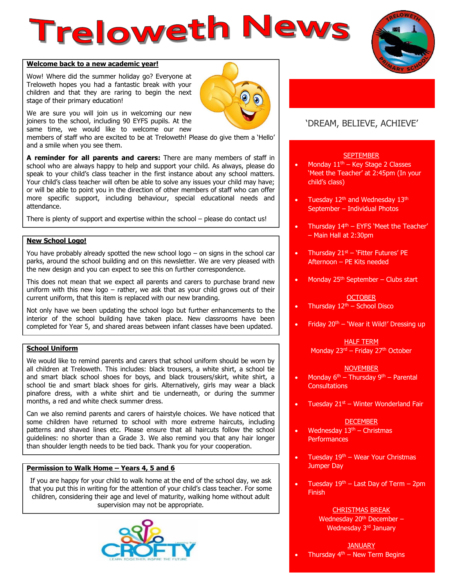# **Treloweth News**



## **Welcome back to a new academic year!**

Wow! Where did the summer holiday go? Everyone at Treloweth hopes you had a fantastic break with your children and that they are raring to begin the next stage of their primary education!

We are sure you will join us in welcoming our new joiners to the school, including 90 EYFS pupils. At the same time, we would like to welcome our new

members of staff who are excited to be at Treloweth! Please do give them a 'Hello' and a smile when you see them.

**A reminder for all parents and carers:** There are many members of staff in school who are always happy to help and support your child. As always, please do speak to your child's class teacher in the first instance about any school matters. Your child's class teacher will often be able to solve any issues your child may have; or will be able to point you in the direction of other members of staff who can offer more specific support, including behaviour, special educational needs and attendance.

There is plenty of support and expertise within the school – please do contact us!

## **New School Logo!**

You have probably already spotted the new school logo – on signs in the school car parks, around the school building and on this newsletter. We are very pleased with the new design and you can expect to see this on further correspondence.

This does not mean that we expect all parents and carers to purchase brand new uniform with this new logo – rather, we ask that as your child grows out of their current uniform, that this item is replaced with our new branding.

Not only have we been updating the school logo but further enhancements to the interior of the school building have taken place. New classrooms have been completed for Year 5, and shared areas between infant classes have been updated.

## **School Uniform**

We would like to remind parents and carers that school uniform should be worn by all children at Treloweth. This includes: black trousers, a white shirt, a school tie and smart black school shoes for boys, and black trousers/skirt, white shirt, a school tie and smart black shoes for girls. Alternatively, girls may wear a black pinafore dress, with a white shirt and tie underneath, or during the summer months, a red and white check summer dress.

Can we also remind parents and carers of hairstyle choices. We have noticed that some children have returned to school with more extreme haircuts, including patterns and shaved lines etc. Please ensure that all haircuts follow the school guidelines: no shorter than a Grade 3. We also remind you that any hair longer than shoulder length needs to be tied back. Thank you for your cooperation.

## **Permission to Walk Home – Years 4, 5 and 6**

If you are happy for your child to walk home at the end of the school day, we ask that you put this in writing for the attention of your child's class teacher. For some children, considering their age and level of maturity, walking home without adult supervision may not be appropriate.



## 'DREAM, BELIEVE, ACHIEVE'

## **SEPTEMBER**

- Monday  $11<sup>th</sup>$  Key Stage 2 Classes 'Meet the Teacher' at 2:45pm (In your child's class)
- Tuesday  $12<sup>th</sup>$  and Wednesday  $13<sup>th</sup>$ September – Individual Photos
- Thursday  $14<sup>th</sup>$  EYFS 'Meet the Teacher' – Main Hall at 2:30pm
- Thursday  $21<sup>st</sup>$  'Fitter Futures' PE Afternoon – PE Kits needed
- Monday  $25<sup>th</sup>$  September Clubs start

## **OCTOBER**

- Thursday  $12<sup>th</sup>$  School Disco
- Friday  $20<sup>th</sup>$  'Wear it Wild!' Dressing up

# HALF TERM

Monday 23<sup>rd</sup> – Friday 27<sup>th</sup> October

## **NOVEMBER**

- Monday  $6^{th}$  Thursday  $9^{th}$  Parental **Consultations**
- Tuesday  $21<sup>st</sup>$  Winter Wonderland Fair

## **DECEMBER**

- Wednesday  $13<sup>th</sup>$  Christmas **Performances**
- Tuesday  $19<sup>th</sup>$  Wear Your Christmas Jumper Day
- Tuesday  $19<sup>th</sup>$  Last Day of Term 2pm Finish

## CHRISTMAS BREAK

Wednesday 20<sup>th</sup> December -Wednesday 3<sup>rd</sup> January

## **JANUARY**

Thursday  $4<sup>th</sup>$  – New Term Begins